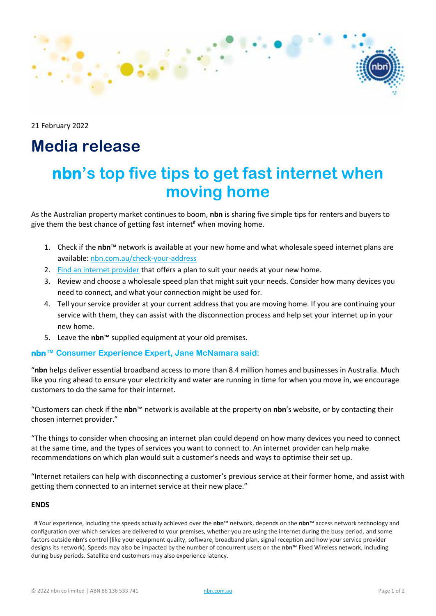

21 February 2022

## **Media release**

# **nbn's top five tips to get fast internet when moving home**

As the Australian property market continues to boom, **nbn** is sharing five simple tips for renters and buyers to give them the best chance of getting fast internet<sup>#</sup> when moving home.

- 1. Check if the **nbn**™ network is available at your new home and what wholesale speed internet plans are available[: nbn.com.au/check-your-address](https://www.nbnco.com.au/check-your-address)
- 2. [Find an internet](https://www.nbnco.com.au/residential/service-providers) provider that offers a plan to suit your needs at your new home.
- 3. Review and choose a wholesale speed plan that might suit your needs. Consider how many devices you need to connect, and what your connection might be used for.
- 4. Tell your service provider at your current address that you are moving home. If you are continuing your service with them, they can assist with the disconnection process and help set your internet up in your new home.
- 5. Leave the **nbn**™ supplied equipment at your old premises.

#### **nbn™ Consumer Experience Expert, Jane McNamara said:**

"**nbn** helps deliver essential broadband access to more than 8.4 million homes and businesses in Australia. Much like you ring ahead to ensure your electricity and water are running in time for when you move in, we encourage customers to do the same for their internet.

"Customers can check if the **nbn**™ network is available at the property on **nbn**'s website, or by contacting their chosen internet provider."

"The things to consider when choosing an internet plan could depend on how many devices you need to connect at the same time, and the types of services you want to connect to. An internet provider can help make recommendations on which plan would suit a customer's needs and ways to optimise their set up.

"Internet retailers can help with disconnecting a customer's previous service at their former home, and assist with getting them connected to an internet service at their new place."

#### **ENDS**

# Your experience, including the speeds actually achieved over the **nbn**™ network, depends on the **nbn**™ access network technology and configuration over which services are delivered to your premises, whether you are using the internet during the busy period, and some factors outside **nbn**'s control (like your equipment quality, software, broadband plan, signal reception and how your service provider designs its network). Speeds may also be impacted by the number of concurrent users on the **nbn**™ Fixed Wireless network, including during busy periods. Satellite end customers may also experience latency.